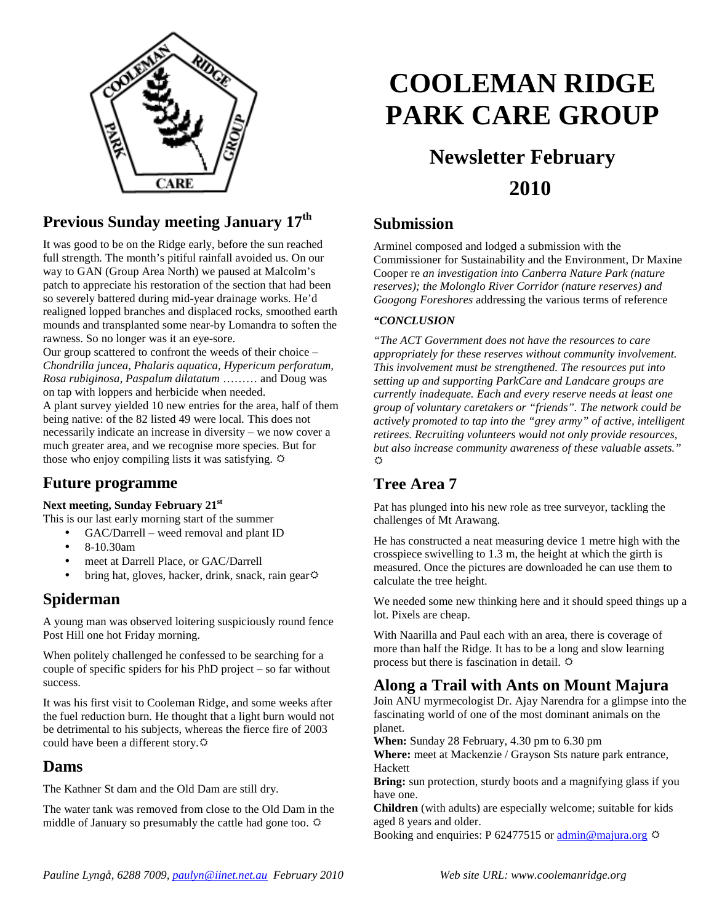

## **Previous Sunday meeting January 17th**

It was good to be on the Ridge early, before the sun reached full strength*.* The month's pitiful rainfall avoided us. On our way to GAN (Group Area North) we paused at Malcolm's patch to appreciate his restoration of the section that had been so severely battered during mid-year drainage works. He'd realigned lopped branches and displaced rocks, smoothed earth mounds and transplanted some near-by Lomandra to soften the rawness. So no longer was it an eye-sore.

Our group scattered to confront the weeds of their choice – *Chondrilla juncea*, *Phalaris aquatica, Hypericum perforatum, Rosa rubiginosa, Paspalum dilatatum* ……… and Doug was on tap with loppers and herbicide when needed.

A plant survey yielded 10 new entries for the area, half of them being native: of the 82 listed 49 were local*.* This does not necessarily indicate an increase in diversity – we now cover a much greater area, and we recognise more species. But for those who enjoy compiling lists it was satisfying.  $\ddot{\varphi}$ 

### **Future programme**

#### **Next meeting, Sunday February 21st**

This is our last early morning start of the summer

- GAC/Darrell weed removal and plant ID
	- 8-10.30am
	- meet at Darrell Place, or GAC/Darrell
	- bring hat, gloves, hacker, drink, snack, rain gear $\circ$

#### **Spiderman**

A young man was observed loitering suspiciously round fence Post Hill one hot Friday morning.

When politely challenged he confessed to be searching for a couple of specific spiders for his PhD project – so far without success.

It was his first visit to Cooleman Ridge, and some weeks after the fuel reduction burn. He thought that a light burn would not be detrimental to his subjects, whereas the fierce fire of 2003 could have been a different story.

#### **Dams**

The Kathner St dam and the Old Dam are still dry.

The water tank was removed from close to the Old Dam in the middle of January so presumably the cattle had gone too.  $\ddot{\varphi}$ 

# **COOLEMAN RIDGE PARK CARE GROUP**

## **Newsletter February 2010**

## **Submission**

Arminel composed and lodged a submission with the Commissioner for Sustainability and the Environment, Dr Maxine Cooper re *an investigation into Canberra Nature Park (nature reserves); the Molonglo River Corridor (nature reserves) and Googong Foreshores* addressing the various terms of reference

#### *"CONCLUSION*

*"The ACT Government does not have the resources to care appropriately for these reserves without community involvement. This involvement must be strengthened. The resources put into setting up and supporting ParkCare and Landcare groups are currently inadequate. Each and every reserve needs at least one group of voluntary caretakers or "friends". The network could be actively promoted to tap into the "grey army" of active, intelligent retirees. Recruiting volunteers would not only provide resources, but also increase community awareness of these valuable assets."*  **A** 

## **Tree Area 7**

Pat has plunged into his new role as tree surveyor, tackling the challenges of Mt Arawang.

He has constructed a neat measuring device 1 metre high with the crosspiece swivelling to 1.3 m, the height at which the girth is measured. Once the pictures are downloaded he can use them to calculate the tree height.

We needed some new thinking here and it should speed things up a lot. Pixels are cheap.

With Naarilla and Paul each with an area, there is coverage of more than half the Ridge. It has to be a long and slow learning process but there is fascination in detail.  $\Phi$ 

## **Along a Trail with Ants on Mount Majura**

Join ANU myrmecologist Dr. Ajay Narendra for a glimpse into the fascinating world of one of the most dominant animals on the planet.

**When:** Sunday 28 February, 4.30 pm to 6.30 pm

**Where:** meet at Mackenzie / Grayson Sts nature park entrance, Hackett

**Bring:** sun protection, sturdy boots and a magnifying glass if you have one.

**Children** (with adults) are especially welcome; suitable for kids aged 8 years and older.

Booking and enquiries: P 62477515 or admin@majura.org  $\ddot{\varphi}$